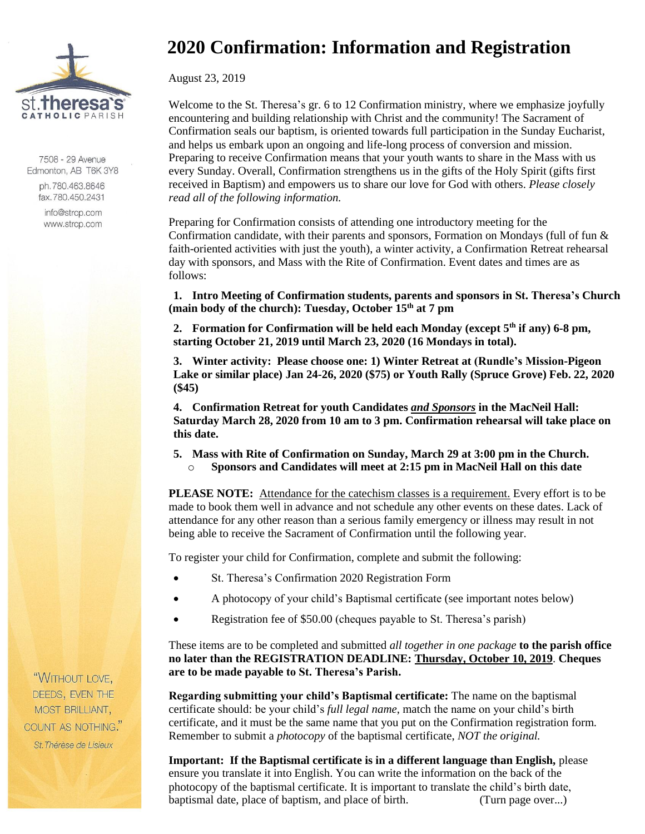

7508 - 29 Avenue Edmonton, AB T6K 3Y8

> ph.780.463.8646 fax.780.450.2431

info@strcp.com www.strcp.com

## **2020 Confirmation: Information and Registration**

August 23, 2019

Welcome to the St. Theresa's gr. 6 to 12 Confirmation ministry, where we emphasize joyfully encountering and building relationship with Christ and the community! The Sacrament of Confirmation seals our baptism, is oriented towards full participation in the Sunday Eucharist, and helps us embark upon an ongoing and life-long process of conversion and mission. Preparing to receive Confirmation means that your youth wants to share in the Mass with us every Sunday. Overall, Confirmation strengthens us in the gifts of the Holy Spirit (gifts first received in Baptism) and empowers us to share our love for God with others. *Please closely read all of the following information.*

Preparing for Confirmation consists of attending one introductory meeting for the Confirmation candidate, with their parents and sponsors, Formation on Mondays (full of fun & faith-oriented activities with just the youth), a winter activity, a Confirmation Retreat rehearsal day with sponsors, and Mass with the Rite of Confirmation. Event dates and times are as follows:

**1. Intro Meeting of Confirmation students, parents and sponsors in St. Theresa's Church (main body of the church): Tuesday, October 15 th at 7 pm**

**2. Formation for Confirmation will be held each Monday (except 5th if any) 6-8 pm, starting October 21, 2019 until March 23, 2020 (16 Mondays in total).**

**3. Winter activity: Please choose one: 1) Winter Retreat at (Rundle's Mission-Pigeon Lake or similar place) Jan 24-26, 2020 (\$75) or Youth Rally (Spruce Grove) Feb. 22, 2020 (\$45)**

**4. Confirmation Retreat for youth Candidates** *and Sponsors* **in the MacNeil Hall: Saturday March 28, 2020 from 10 am to 3 pm. Confirmation rehearsal will take place on this date.** 

**5. Mass with Rite of Confirmation on Sunday, March 29 at 3:00 pm in the Church.**  o **Sponsors and Candidates will meet at 2:15 pm in MacNeil Hall on this date**

**PLEASE NOTE:** Attendance for the catechism classes is a requirement. Every effort is to be made to book them well in advance and not schedule any other events on these dates. Lack of attendance for any other reason than a serious family emergency or illness may result in not being able to receive the Sacrament of Confirmation until the following year.

To register your child for Confirmation, complete and submit the following:

- St. Theresa's Confirmation 2020 Registration Form
- A photocopy of your child's Baptismal certificate (see important notes below)
- Registration fee of \$50.00 (cheques payable to St. Theresa's parish)

These items are to be completed and submitted *all together in one package* **to the parish office no later than the REGISTRATION DEADLINE: Thursday, October 10, 2019**. **Cheques are to be made payable to St. Theresa's Parish.**

**Regarding submitting your child's Baptismal certificate:** The name on the baptismal certificate should: be your child's *full legal name*, match the name on your child's birth certificate, and it must be the same name that you put on the Confirmation registration form. Remember to submit a *photocopy* of the baptismal certificate, *NOT the original.*

**Important: If the Baptismal certificate is in a different language than English,** please ensure you translate it into English. You can write the information on the back of the photocopy of the baptismal certificate. It is important to translate the child's birth date, baptismal date, place of baptism, and place of birth. (Turn page over...)

"WITHOUT LOVE, DEEDS, EVEN THE MOST BRILLIANT, COUNT AS NOTHING." St. Thérèse de Lisieux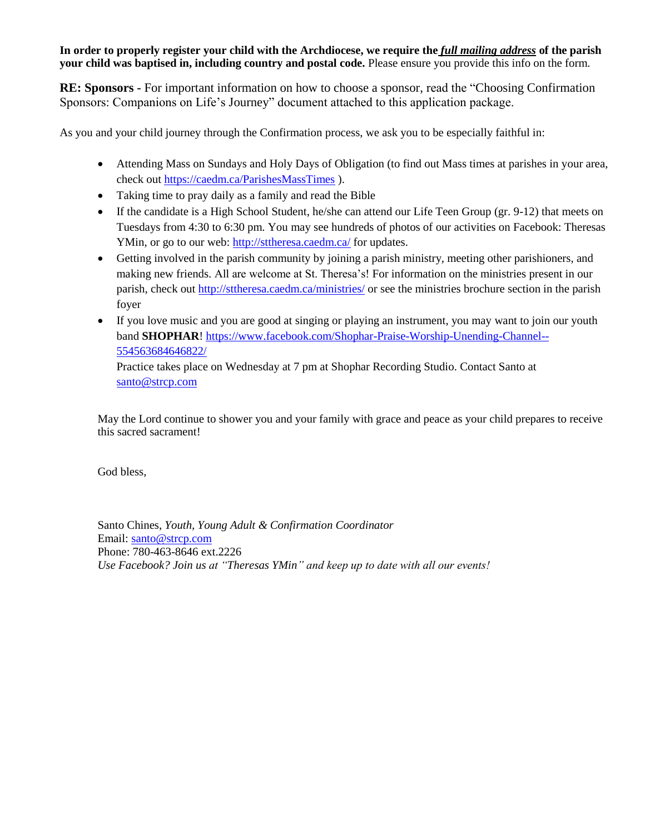**In order to properly register your child with the Archdiocese, we require the** *full mailing address* **of the parish your child was baptised in, including country and postal code.** Please ensure you provide this info on the form.

**RE: Sponsors -** For important information on how to choose a sponsor, read the "Choosing Confirmation Sponsors: Companions on Life's Journey" document attached to this application package.

As you and your child journey through the Confirmation process, we ask you to be especially faithful in:

- Attending Mass on Sundays and Holy Days of Obligation (to find out Mass times at parishes in your area, check out<https://caedm.ca/ParishesMassTimes> ).
- Taking time to pray daily as a family and read the Bible
- If the candidate is a High School Student, he/she can attend our Life Teen Group (gr. 9-12) that meets on Tuesdays from 4:30 to 6:30 pm. You may see hundreds of photos of our activities on Facebook: Theresas YMin, or go to our web:<http://sttheresa.caedm.ca/> for updates.
- Getting involved in the parish community by joining a parish ministry, meeting other parishioners, and making new friends. All are welcome at St. Theresa's! For information on the ministries present in our parish, check out<http://sttheresa.caedm.ca/ministries/> or see the ministries brochure section in the parish foyer
- If you love music and you are good at singing or playing an instrument, you may want to join our youth band **SHOPHAR**! [https://www.facebook.com/Shophar-Praise-Worship-Unending-Channel--](https://www.facebook.com/Shophar-Praise-Worship-Unending-Channel--554563684646822/) [554563684646822/](https://www.facebook.com/Shophar-Praise-Worship-Unending-Channel--554563684646822/)

Practice takes place on Wednesday at 7 pm at Shophar Recording Studio. Contact Santo at [santo@strcp.com](mailto:santo@strcp.com)

May the Lord continue to shower you and your family with grace and peace as your child prepares to receive this sacred sacrament!

God bless,

Santo Chines, *Youth, Young Adult & Confirmation Coordinator* Email: [santo@strcp.com](mailto:santo@strcp.com) Phone: 780-463-8646 ext.2226 *Use Facebook? Join us at "Theresas YMin" and keep up to date with all our events!*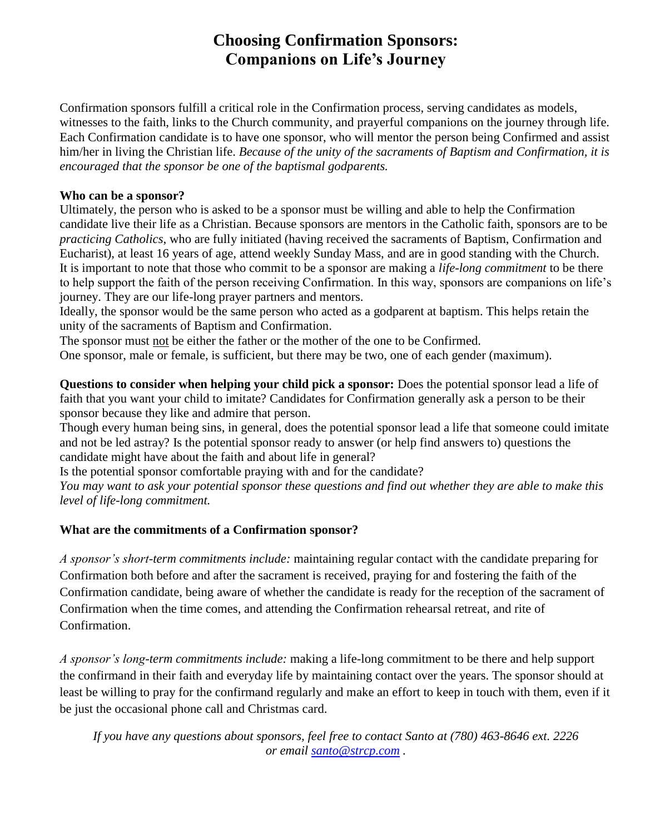### **Choosing Confirmation Sponsors: Companions on Life's Journey**

Confirmation sponsors fulfill a critical role in the Confirmation process, serving candidates as models, witnesses to the faith, links to the Church community, and prayerful companions on the journey through life. Each Confirmation candidate is to have one sponsor, who will mentor the person being Confirmed and assist him/her in living the Christian life. *Because of the unity of the sacraments of Baptism and Confirmation, it is encouraged that the sponsor be one of the baptismal godparents.*

#### **Who can be a sponsor?**

Ultimately, the person who is asked to be a sponsor must be willing and able to help the Confirmation candidate live their life as a Christian. Because sponsors are mentors in the Catholic faith, sponsors are to be *practicing Catholics*, who are fully initiated (having received the sacraments of Baptism, Confirmation and Eucharist), at least 16 years of age, attend weekly Sunday Mass, and are in good standing with the Church. It is important to note that those who commit to be a sponsor are making a *life-long commitment* to be there to help support the faith of the person receiving Confirmation. In this way, sponsors are companions on life's journey. They are our life-long prayer partners and mentors.

Ideally, the sponsor would be the same person who acted as a godparent at baptism. This helps retain the unity of the sacraments of Baptism and Confirmation.

The sponsor must not be either the father or the mother of the one to be Confirmed.

One sponsor, male or female, is sufficient, but there may be two, one of each gender (maximum).

**Questions to consider when helping your child pick a sponsor:** Does the potential sponsor lead a life of faith that you want your child to imitate? Candidates for Confirmation generally ask a person to be their sponsor because they like and admire that person.

Though every human being sins, in general, does the potential sponsor lead a life that someone could imitate and not be led astray? Is the potential sponsor ready to answer (or help find answers to) questions the candidate might have about the faith and about life in general?

Is the potential sponsor comfortable praying with and for the candidate?

*You may want to ask your potential sponsor these questions and find out whether they are able to make this level of life-long commitment.*

#### **What are the commitments of a Confirmation sponsor?**

*A sponsor's short-term commitments include:* maintaining regular contact with the candidate preparing for Confirmation both before and after the sacrament is received, praying for and fostering the faith of the Confirmation candidate, being aware of whether the candidate is ready for the reception of the sacrament of Confirmation when the time comes, and attending the Confirmation rehearsal retreat, and rite of Confirmation.

*A sponsor's long-term commitments include:* making a life-long commitment to be there and help support the confirmand in their faith and everyday life by maintaining contact over the years. The sponsor should at least be willing to pray for the confirmand regularly and make an effort to keep in touch with them, even if it be just the occasional phone call and Christmas card.

*If you have any questions about sponsors, feel free to contact Santo at (780) 463-8646 ext. 2226 or email [santo@strcp.com](mailto:santo@strcp.com) .*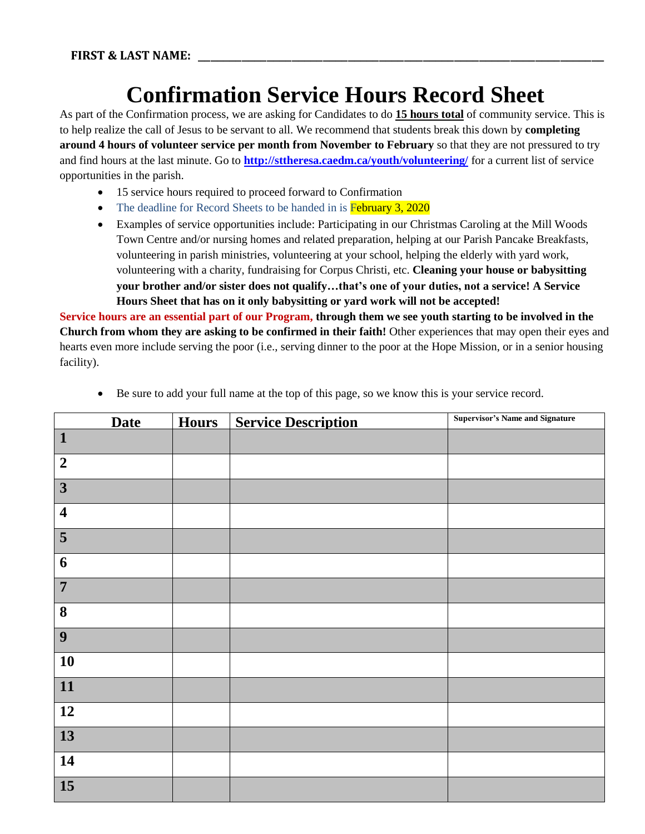## **Confirmation Service Hours Record Sheet**

As part of the Confirmation process, we are asking for Candidates to do **15 hours total** of community service. This is to help realize the call of Jesus to be servant to all. We recommend that students break this down by **completing around 4 hours of volunteer service per month from November to February** so that they are not pressured to try and find hours at the last minute. Go to **<http://sttheresa.caedm.ca/youth/volunteering/>** for a current list of service opportunities in the parish.

- 15 service hours required to proceed forward to Confirmation
- The deadline for Record Sheets to be handed in is **February 3, 2020**
- Examples of service opportunities include: Participating in our Christmas Caroling at the Mill Woods Town Centre and/or nursing homes and related preparation, helping at our Parish Pancake Breakfasts, volunteering in parish ministries, volunteering at your school, helping the elderly with yard work, volunteering with a charity, fundraising for Corpus Christi, etc. **Cleaning your house or babysitting your brother and/or sister does not qualify…that's one of your duties, not a service! A Service Hours Sheet that has on it only babysitting or yard work will not be accepted!**

**Service hours are an essential part of our Program, through them we see youth starting to be involved in the Church from whom they are asking to be confirmed in their faith!** Other experiences that may open their eyes and hearts even more include serving the poor (i.e., serving dinner to the poor at the Hope Mission, or in a senior housing facility).

| <b>Date</b>             | <b>Hours</b> | <b>Service Description</b> | <b>Supervisor's Name and Signature</b> |
|-------------------------|--------------|----------------------------|----------------------------------------|
| $\vert$ 1               |              |                            |                                        |
| $\boldsymbol{2}$        |              |                            |                                        |
| $\overline{\mathbf{3}}$ |              |                            |                                        |
| $\overline{\mathbf{4}}$ |              |                            |                                        |
| 5                       |              |                            |                                        |
| 6                       |              |                            |                                        |
| $\overline{7}$          |              |                            |                                        |
| 8                       |              |                            |                                        |
| 9                       |              |                            |                                        |
| 10                      |              |                            |                                        |
| $\boxed{11}$            |              |                            |                                        |
| 12                      |              |                            |                                        |
| 13                      |              |                            |                                        |
| 14                      |              |                            |                                        |
| <b>15</b>               |              |                            |                                        |

Be sure to add your full name at the top of this page, so we know this is your service record.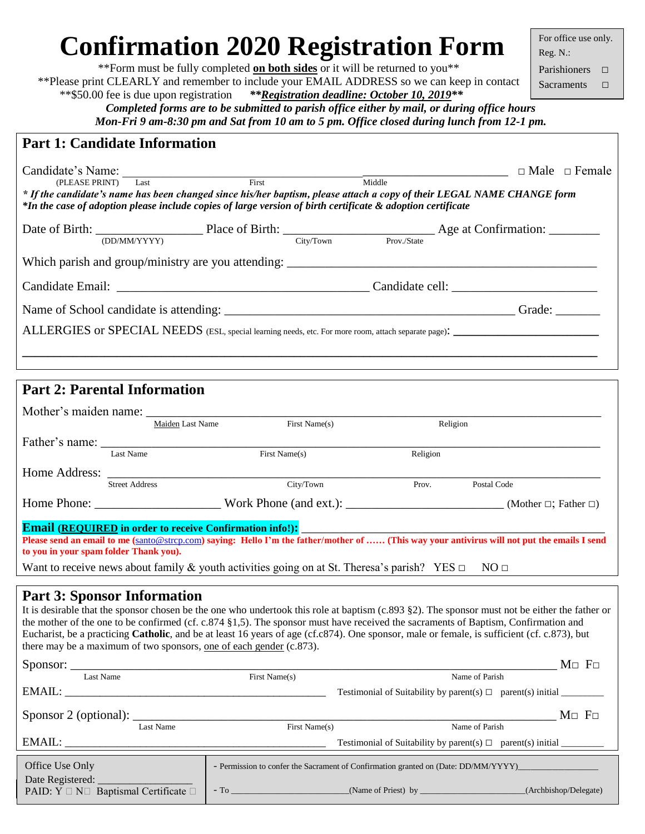# **Confirmation 2020 Registration Form**

\*\*Form must be fully completed **on both sides** or it will be returned to you\*\* \*\*Please print CLEARLY and remember to include your EMAIL ADDRESS so we can keep in contact \*\*\$50.00 fee is due upon registration *\*\*Registration deadline: October 10, 2019\*\**

For office use only. Reg. N.: Parishioners □

Sacraments □

*Completed forms are to be submitted to parish office either by mail, or during office hours Mon-Fri 9 am-8:30 pm and Sat from 10 am to 5 pm. Office closed during lunch from 12-1 pm.*

|  |  | <b>Part 1: Candidate Information</b> |
|--|--|--------------------------------------|
|--|--|--------------------------------------|

| Candidate's Name:<br>(PLEASE PRINT) Last<br>* If the candidate's name has been changed since his/her baptism, please attach a copy of their LEGAL NAME CHANGE form<br>*In the case of adoption please include copies of large version of birth certificate & adoption certificate | First |            | Middle      | $\Box$ Male $\Box$ Female |  |  |
|-----------------------------------------------------------------------------------------------------------------------------------------------------------------------------------------------------------------------------------------------------------------------------------|-------|------------|-------------|---------------------------|--|--|
| (DD/MM/YYYY)                                                                                                                                                                                                                                                                      |       | City/ Town | Prov./State |                           |  |  |
|                                                                                                                                                                                                                                                                                   |       |            |             |                           |  |  |
|                                                                                                                                                                                                                                                                                   |       |            |             |                           |  |  |
| Grade:                                                                                                                                                                                                                                                                            |       |            |             |                           |  |  |
|                                                                                                                                                                                                                                                                                   |       |            |             |                           |  |  |
|                                                                                                                                                                                                                                                                                   |       |            |             |                           |  |  |

| <b>Part 2: Parental Information</b>                                                                                                                                                                                                                       |                       |                  |               |          |             |  |
|-----------------------------------------------------------------------------------------------------------------------------------------------------------------------------------------------------------------------------------------------------------|-----------------------|------------------|---------------|----------|-------------|--|
|                                                                                                                                                                                                                                                           |                       | Maiden Last Name | First Name(s) | Religion |             |  |
|                                                                                                                                                                                                                                                           | Last Name             |                  | First Name(s) | Religion |             |  |
| Home Address:                                                                                                                                                                                                                                             | <b>Street Address</b> |                  | City/Town     | Prov.    | Postal Code |  |
| Home Phone: Work Phone (and ext.): (Mother □; Father □)                                                                                                                                                                                                   |                       |                  |               |          |             |  |
| <b>Email (REQUIRED in order to receive Confirmation info!):</b><br>Please send an email to me (santo@strcp.com) saying: Hello I'm the father/mother of  (This way your antivirus will not put the emails I send<br>to you in your spam folder Thank you). |                       |                  |               |          |             |  |
| Want to receive news about family & youth activities going on at St. Theresa's parish? YES $\Box$<br>$NO \Box$                                                                                                                                            |                       |                  |               |          |             |  |

#### **Part 3: Sponsor Information**

It is desirable that the sponsor chosen be the one who undertook this role at baptism (c.893 §2). The sponsor must not be either the father or the mother of the one to be confirmed (cf. c.874 §1,5). The sponsor must have received the sacraments of Baptism, Confirmation and Eucharist, be a practicing **Catholic**, and be at least 16 years of age (cf.c874). One sponsor, male or female, is sufficient (cf. c.873), but there may be a maximum of two sponsors, one of each gender (c.873).

|                                                             |           |                                                                                                                                                                                                                              |                                                                             | $M \Box F \Box$       |  |
|-------------------------------------------------------------|-----------|------------------------------------------------------------------------------------------------------------------------------------------------------------------------------------------------------------------------------|-----------------------------------------------------------------------------|-----------------------|--|
| Last Name                                                   |           | First Name(s)                                                                                                                                                                                                                | Name of Parish                                                              |                       |  |
| EMAIL:                                                      |           |                                                                                                                                                                                                                              | Testimonial of Suitability by parent(s) $\Box$ parent(s) initial            |                       |  |
|                                                             |           |                                                                                                                                                                                                                              |                                                                             | $M \Box F \Box$       |  |
|                                                             | Last Name | First Name(s)                                                                                                                                                                                                                | Name of Parish                                                              |                       |  |
|                                                             |           |                                                                                                                                                                                                                              | Testimonial of Suitability by parent(s) $\Box$ parent(s) initial __________ |                       |  |
| Office Use Only                                             |           | - Permission to confer the Sacrament of Confirmation granted on (Date: DD/MM/YYYY)                                                                                                                                           |                                                                             |                       |  |
| PAID: $Y \square N \square$ Baptismal Certificate $\square$ |           | $-$ To $-$ To $-$ To $-$ To $-$ To $-$ To $-$ To $-$ To $-$ To $-$ To $-$ To $-$ To $-$ To $-$ To $-$ To $-$ To $-$ To $-$ To $-$ To $-$ To $-$ To $-$ To $-$ To $-$ To $-$ To $-$ To $-$ To $-$ To $-$ To $-$ To $-$ To $-$ | $(Name of Priest)$ by                                                       | (Archbishop/Delegate) |  |